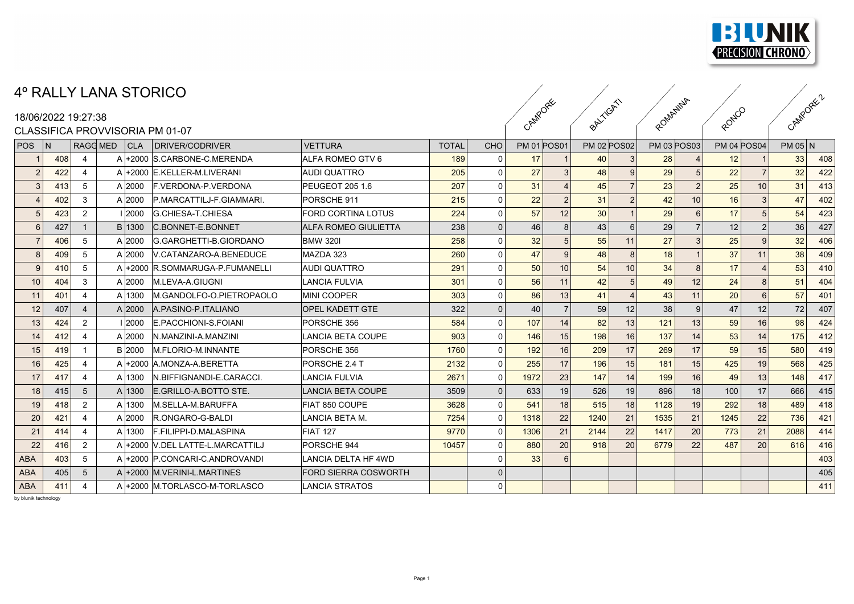

## 4º RALLY LANA STORICO

## CLASSIFICA PROVATISORIA PM 01-07

|            |     |                     | 4º RALLY LANA STORICO |                                  |                             |              |          |                    |           |                    |                   |                    |                |                    |                 |         |     |
|------------|-----|---------------------|-----------------------|----------------------------------|-----------------------------|--------------|----------|--------------------|-----------|--------------------|-------------------|--------------------|----------------|--------------------|-----------------|---------|-----|
|            |     | 18/06/2022 19:27:38 |                       |                                  |                             |              | CAMPORE  |                    | BALLYCATI |                    | ROMANINA<br>Royco |                    |                | CAMPORE 2          |                 |         |     |
|            |     |                     |                       | CLASSIFICA PROVVISORIA PM 01-07  |                             |              |          |                    |           |                    |                   |                    |                |                    |                 |         |     |
| POS        | N   | RAGG MED            | CLA                   | DRIVER/CODRIVER                  | <b>VETTURA</b>              | <b>TOTAL</b> | CHO      | <b>PM 01 POS01</b> |           | <b>PM 02 POS02</b> |                   | <b>PM 03 POS03</b> |                | <b>PM 04 POS04</b> |                 | PM 05 N |     |
|            | 408 | $\overline{4}$      |                       | A +2000 S.CARBONE-C.MERENDA      | <b>ALFA ROMEO GTV 6</b>     | 189          |          | 17                 |           | 40                 |                   | 28                 |                | 12                 |                 | 33      | 408 |
|            | 422 | -4                  |                       | A +2000 E.KELLER-M.LIVERANI      | <b>AUDI QUATTRO</b>         | 205          |          | 27                 |           | 48                 |                   | 29                 |                | 22                 |                 | 32      | 422 |
|            | 413 | 5                   | A 2000                | F.VERDONA-P.VERDONA              | PEUGEOT 205 1.6             | 207          | $\Omega$ | 31                 |           | 45                 |                   | 23                 | 2 <sup>1</sup> | 25                 | 10 <sup>1</sup> | 31      | 413 |
|            | 402 | 3                   | $A$  2000             | P.MARCATTILJ-F.GIAMMARI.         | PORSCHE 911                 | 215          | $\Omega$ | 22                 |           | 31                 |                   | 42                 | 10             | 16                 |                 | 47      | 402 |
|            | 423 | $\overline{2}$      | 1 2000                | G.CHIESA-T.CHIESA                | <b>FORD CORTINA LOTUS</b>   | 224          | $\Omega$ | 57                 | 12        | 30 <sup>°</sup>    |                   | 29                 |                | 17                 |                 | 54      | 423 |
|            | 427 | -1                  | B 1300                | C.BONNET-E.BONNET                | <b>ALFA ROMEO GIULIETTA</b> | 238          |          | 46                 |           | 43                 |                   | 29                 |                | 12                 |                 | 36      | 427 |
|            | 406 | 5                   | A 2000                | G.GARGHETTI-B.GIORDANO           | <b>BMW 320I</b>             | 258          |          | 32                 |           | 55                 | 11                | 27                 |                | 25                 |                 | 32      | 406 |
|            | 409 | 5                   | A 2000                | V.CATANZARO-A.BENEDUCE           | MAZDA 323                   | 260          |          | 47                 |           | 48                 |                   | 18                 |                | 37                 |                 | 38      | 409 |
|            | 410 | -5                  | Al+2000               | <b>R.SOMMARUGA-P.FUMANELLI</b>   | <b>AUDI QUATTRO</b>         | 291          | $\Omega$ | 50                 | 10        | 54                 | 10                | 34                 |                | 17                 |                 | 53      | 410 |
| 10         | 404 | 3                   | A 2000                | M.LEVA-A.GIUGNI                  | LANCIA FULVIA               | 301          | $\Omega$ | 56                 | 11        | 42                 |                   | 49                 | 12             | 24                 |                 | 51      | 404 |
| 11         | 401 | $\overline{4}$      | A 1300                | M.GANDOLFO-O.PIETROPAOLO         | MINI COOPER                 | 303          |          | 86                 | 13        | 41                 |                   | 43                 | 11             | 20                 |                 | 57      | 401 |
| 12         | 407 | $\overline{4}$      | $A$  2000             | A PASINO-P ITALIANO              | <b>OPEL KADETT GTE</b>      | 322          | $\Omega$ | 40                 |           | 59                 | 12                | 38                 | $\overline{9}$ | 47                 | 12              | 72      | 407 |
| 13         | 424 | $\overline{2}$      | 2000                  | E.PACCHIONI-S.FOIANI             | PORSCHE 356                 | 584          |          | 107                | 14        | 82                 | 13                | 121                | 13             | 59                 | 16              | 98      | 424 |
| 14         | 412 | -4                  | A 2000                | N.MANZINI-A.MANZINI              | LANCIA BETA COUPE           | 903          |          | 146                | 15        | 198                | 16                | 137                | 14             | 53                 |                 | 175     | 412 |
| 15         | 419 | -1                  | <b>B</b> 2000         | <b>M.FLORIO-M.INNANTE</b>        | PORSCHE 356                 | 1760         |          | 192                | 16        | 209                | 17                | 269                | 17             | 59                 | 15              | 580     | 419 |
| 16         | 425 | $\overline{4}$      | A +2000               | A.MONZA-A.BERETTA                | <b>PORSCHE 2.4 T</b>        | 2132         |          | 255                | 17        | 196                | 15                | 181                | 15             | 425                | 19              | 568     | 425 |
| 17         | 417 | $\overline{4}$      | A 1300                | N.BIFFIGNANDI-E.CARACCI.         | LANCIA FULVIA               | 2671         |          | 1972               | 23        | 147                | 14                | 199                | 16             | 49                 | 13              | 148     | 417 |
| 18         | 415 | $5\phantom{.0}$     | A 1300                | E.GRILLO-A.BOTTO STE.            | <b>LANCIA BETA COUPE</b>    | 3509         |          | 633                | 19        | 526                | 19                | 896                | 18             | 100                | 17              | 666     | 415 |
| 19         | 418 | $\overline{2}$      | A 1300                | M.SELLA-M.BARUFFA                | <b>FIAT 850 COUPE</b>       | 3628         |          | 541                | 18        | 515                | 18                | 1128               | 19             | 292                | 18              | 489     | 418 |
| 20         | 421 | 4                   | A 2000                | R.ONGARO-G-BALDI                 | ILANCIA BETA M.             | 7254         |          | 1318               | 22        | 1240               | 21                | 1535               | 21             | 1245               | 22              | 736     | 421 |
| 21         | 414 | -4                  | A 1300                | F.FILIPPI-D.MALASPINA            | <b>FIAT 127</b>             | 9770         |          | 1306               | 21        | 2144               | 22                | 1417               | 20             | 773                | 21              | 2088    | 414 |
| 22         | 416 | $\overline{2}$      |                       | A +2000 V.DEL LATTE-L.MARCATTIL. | PORSCHE 944                 | 10457        |          | 880                | 20        | 918                | 20                | 6779               | 22             | 487                | 20              | 616     | 416 |
| <b>ABA</b> | 403 | 5                   |                       | A +2000 P.CONCARI-C.ANDROVANDI   | LANCIA DELTA HF 4WD         |              |          | 33                 |           |                    |                   |                    |                |                    |                 |         | 403 |
| <b>ABA</b> | 405 | 5                   |                       | A +2000 M.VERINI-L.MARTINES      | <b>FORD SIERRA COSWORTH</b> |              |          |                    |           |                    |                   |                    |                |                    |                 |         | 405 |
| <b>ABA</b> | 411 | $\overline{4}$      |                       | A +2000 M.TORLASCO-M-TORLASCO    | LANCIA STRATOS              |              |          |                    |           |                    |                   |                    |                |                    |                 |         | 411 |
|            |     |                     |                       |                                  |                             |              |          |                    |           |                    |                   |                    |                |                    |                 |         |     |

by blunik technology